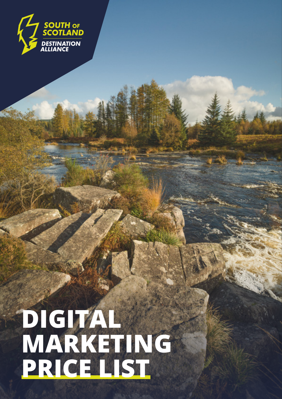

## **DIGITAL MARKETING PRICE LIST**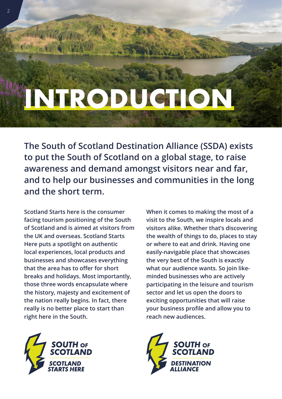# **INTRODUCTION**

**The South of Scotland Destination Alliance (SSDA) exists to put the South of Scotland on a global stage, to raise awareness and demand amongst visitors near and far, and to help our businesses and communities in the long and the short term.** 

**Scotland Starts here is the consumer facing tourism positioning of the South of Scotland and is aimed at visitors from the UK and overseas. Scotland Starts Here puts a spotlight on authentic local experiences, local products and businesses and showcases everything that the area has to offer for short breaks and holidays. Most importantly, those three words encapsulate where the history, majesty and excitement of the nation really begins. In fact, there really is no better place to start than right here in the South.**



**When it comes to making the most of a visit to the South, we inspire locals and visitors alike. Whether that's discovering the wealth of things to do, places to stay or where to eat and drink. Having one easily-navigable place that showcases the very best of the South is exactly what our audience wants. So join likeminded businesses who are actively participating in the leisure and tourism sector and let us open the doors to exciting opportunities that will raise your business profile and allow you to reach new audiences.**

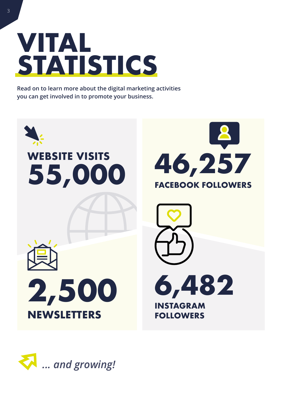

**Read on to learn more about the digital marketing activities you can get involved in to promote your business.**



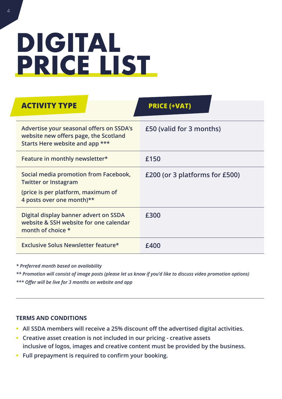## **DIGITAL PRICE LIST**

| <b>ACTIVITY TYPE</b>                                                                                                                    | <b>PRICE (+VAT)</b>            |  |  |
|-----------------------------------------------------------------------------------------------------------------------------------------|--------------------------------|--|--|
| Advertise your seasonal offers on SSDA's<br>website new offers page, the Scotland<br>Starts Here website and app ***                    | £50 (valid for 3 months)       |  |  |
| Feature in monthly newsletter*                                                                                                          | £150                           |  |  |
| Social media promotion from Facebook,<br><b>Twitter or Instagram</b><br>(price is per platform, maximum of<br>4 posts over one month)** | £200 (or 3 platforms for £500) |  |  |
| Digital display banner advert on SSDA<br>website & SSH website for one calendar<br>month of choice *                                    | £300                           |  |  |
| <b>Exclusive Solus Newsletter feature*</b>                                                                                              | £400                           |  |  |

*\* Preferred month based on availability*

*\*\* Promotion will consist of image posts (please let us know if you'd like to discuss video promotion options) \*\*\* Offer will be live for 3 months on website and app*

#### **TERMS AND CONDITIONS**

- **All SSDA members will receive a 25% discount off the advertised digital activities.**
- **Creative asset creation is not included in our pricing creative assets inclusive of logos, images and creative content must be provided by the business.**
- **Full prepayment is required to confirm your booking.**